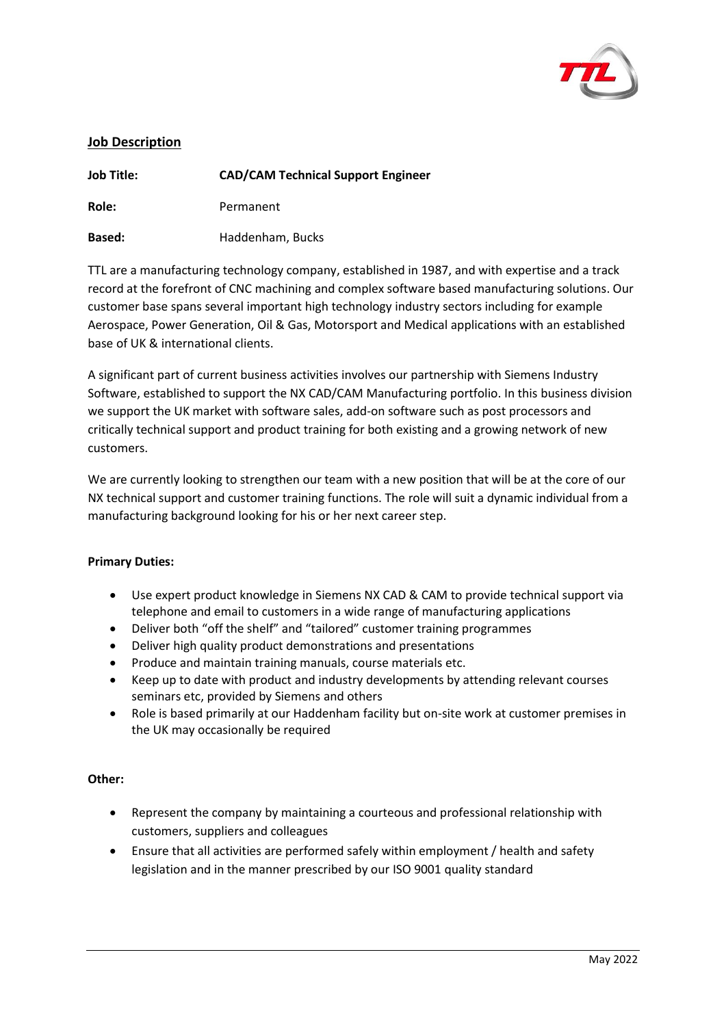

# **Job Description**

| <b>Job Title:</b> | <b>CAD/CAM Technical Support Engineer</b> |
|-------------------|-------------------------------------------|
| Role:             | Permanent                                 |
| Based:            | Haddenham, Bucks                          |

TTL are a manufacturing technology company, established in 1987, and with expertise and a track record at the forefront of CNC machining and complex software based manufacturing solutions. Our customer base spans several important high technology industry sectors including for example Aerospace, Power Generation, Oil & Gas, Motorsport and Medical applications with an established base of UK & international clients.

A significant part of current business activities involves our partnership with Siemens Industry Software, established to support the NX CAD/CAM Manufacturing portfolio. In this business division we support the UK market with software sales, add-on software such as post processors and critically technical support and product training for both existing and a growing network of new customers.

We are currently looking to strengthen our team with a new position that will be at the core of our NX technical support and customer training functions. The role will suit a dynamic individual from a manufacturing background looking for his or her next career step.

## **Primary Duties:**

- Use expert product knowledge in Siemens NX CAD & CAM to provide technical support via telephone and email to customers in a wide range of manufacturing applications
- Deliver both "off the shelf" and "tailored" customer training programmes
- Deliver high quality product demonstrations and presentations
- Produce and maintain training manuals, course materials etc.
- Keep up to date with product and industry developments by attending relevant courses seminars etc, provided by Siemens and others
- Role is based primarily at our Haddenham facility but on-site work at customer premises in the UK may occasionally be required

## **Other:**

- Represent the company by maintaining a courteous and professional relationship with customers, suppliers and colleagues
- Ensure that all activities are performed safely within employment / health and safety legislation and in the manner prescribed by our ISO 9001 quality standard